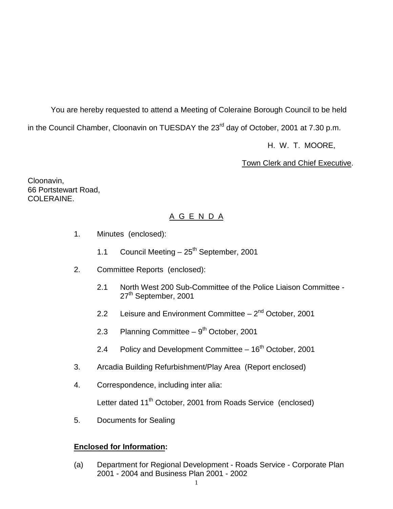You are hereby requested to attend a Meeting of Coleraine Borough Council to be held in the Council Chamber, Cloonavin on TUESDAY the 23<sup>rd</sup> day of October, 2001 at 7.30 p.m.

H. W. T. MOORE,

Town Clerk and Chief Executive.

Cloonavin, 66 Portstewart Road, COLERAINE.

# A G E N D A

- 1. Minutes (enclosed):
	- 1.1 Council Meeting  $-25^{th}$  September, 2001
- 2. Committee Reports (enclosed):
	- 2.1 North West 200 Sub-Committee of the Police Liaison Committee 27<sup>th</sup> September, 2001
	- 2.2 Leisure and Environment Committee  $-2^{nd}$  October, 2001
	- 2.3 Planning Committee  $9<sup>th</sup>$  October, 2001
	- 2.4 Policy and Development Committee  $-16<sup>th</sup>$  October, 2001
- 3. Arcadia Building Refurbishment/Play Area (Report enclosed)
- 4. Correspondence, including inter alia:

Letter dated 11<sup>th</sup> October, 2001 from Roads Service (enclosed)

5. Documents for Sealing

# **Enclosed for Information:**

(a) Department for Regional Development - Roads Service - Corporate Plan 2001 - 2004 and Business Plan 2001 - 2002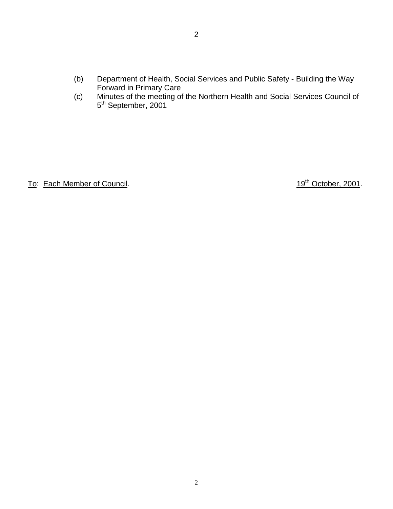- (b) Department of Health, Social Services and Public Safety Building the Way Forward in Primary Care
- (c) Minutes of the meeting of the Northern Health and Social Services Council of 5<sup>th</sup> September, 2001

To: Each Member of Council. 19th October, 2001.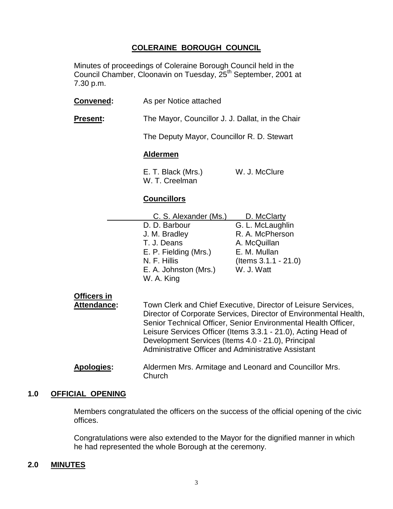# **COLERAINE BOROUGH COUNCIL**

Minutes of proceedings of Coleraine Borough Council held in the Council Chamber, Cloonavin on Tuesday, 25<sup>th</sup> September, 2001 at 7.30 p.m.

| Convened:                                | As per Notice attached                                                                                                                                                                                                                                                                                                                                                                    |                                                                                                                               |
|------------------------------------------|-------------------------------------------------------------------------------------------------------------------------------------------------------------------------------------------------------------------------------------------------------------------------------------------------------------------------------------------------------------------------------------------|-------------------------------------------------------------------------------------------------------------------------------|
| Present:                                 | The Mayor, Councillor J. J. Dallat, in the Chair                                                                                                                                                                                                                                                                                                                                          |                                                                                                                               |
|                                          | The Deputy Mayor, Councillor R. D. Stewart                                                                                                                                                                                                                                                                                                                                                |                                                                                                                               |
|                                          | <b>Aldermen</b>                                                                                                                                                                                                                                                                                                                                                                           |                                                                                                                               |
|                                          | E. T. Black (Mrs.)<br>W. T. Creelman                                                                                                                                                                                                                                                                                                                                                      | W. J. McClure                                                                                                                 |
|                                          | <b>Councillors</b>                                                                                                                                                                                                                                                                                                                                                                        |                                                                                                                               |
|                                          | C. S. Alexander (Ms.)<br>D. D. Barbour<br>J. M. Bradley<br>T. J. Deans<br>E. P. Fielding (Mrs.)<br>N. F. Hillis<br>E. A. Johnston (Mrs.)<br>W. A. King                                                                                                                                                                                                                                    | D. McClarty<br>G. L. McLaughlin<br>R. A. McPherson<br>A. McQuillan<br>E. M. Mullan<br>$($ ltems $3.1.1 - 21.0)$<br>W. J. Watt |
| <b>Officers in</b><br><b>Attendance:</b> | Town Clerk and Chief Executive, Director of Leisure Services,<br>Director of Corporate Services, Director of Environmental Health,<br>Senior Technical Officer, Senior Environmental Health Officer,<br>Leisure Services Officer (Items 3.3.1 - 21.0), Acting Head of<br>Development Services (Items 4.0 - 21.0), Principal<br><b>Administrative Officer and Administrative Assistant</b> |                                                                                                                               |
| <b>Apologies:</b>                        | Church                                                                                                                                                                                                                                                                                                                                                                                    | Aldermen Mrs. Armitage and Leonard and Councillor Mrs.                                                                        |

# **1.0 OFFICIAL OPENING**

Members congratulated the officers on the success of the official opening of the civic offices.

Congratulations were also extended to the Mayor for the dignified manner in which he had represented the whole Borough at the ceremony.

# **2.0 MINUTES**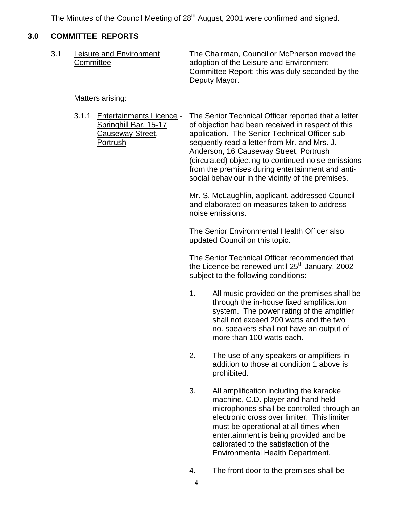The Minutes of the Council Meeting of 28<sup>th</sup> August, 2001 were confirmed and signed.

# **3.0 COMMITTEE REPORTS**

| 3.1 | Leisure and Environment<br>Committee | The Chairman, Councillor McPherson moved the<br>adoption of the Leisure and Environment<br>Committee Report; this was duly seconded by the<br>Deputy Mayor. |
|-----|--------------------------------------|-------------------------------------------------------------------------------------------------------------------------------------------------------------|
|     |                                      |                                                                                                                                                             |

Matters arising:

3.1.1 Entertainments Licence - The Senior Technical Officer reported that a letter Springhill Bar, 15-17 of objection had been received in respect of this Causeway Street, application. The Senior Technical Officer sub-Portrush sequently read a letter from Mr. and Mrs. J. Anderson, 16 Causeway Street, Portrush (circulated) objecting to continued noise emissions from the premises during entertainment and antisocial behaviour in the vicinity of the premises.

> Mr. S. McLaughlin, applicant, addressed Council and elaborated on measures taken to address noise emissions.

The Senior Environmental Health Officer also updated Council on this topic.

The Senior Technical Officer recommended that the Licence be renewed until  $25<sup>th</sup>$  January, 2002 subject to the following conditions:

- 1. All music provided on the premises shall be through the in-house fixed amplification system. The power rating of the amplifier shall not exceed 200 watts and the two no. speakers shall not have an output of more than 100 watts each.
- 2. The use of any speakers or amplifiers in addition to those at condition 1 above is prohibited.
- 3. All amplification including the karaoke machine, C.D. player and hand held microphones shall be controlled through an electronic cross over limiter. This limiter must be operational at all times when entertainment is being provided and be calibrated to the satisfaction of the Environmental Health Department.
- 4. The front door to the premises shall be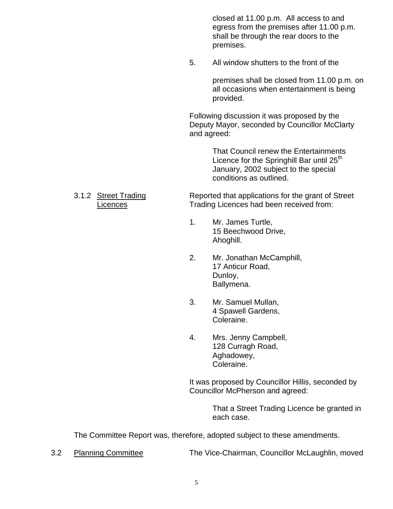closed at 11.00 p.m. All access to and egress from the premises after 11.00 p.m. shall be through the rear doors to the premises.

5. All window shutters to the front of the

premises shall be closed from 11.00 p.m. on all occasions when entertainment is being provided.

Following discussion it was proposed by the Deputy Mayor, seconded by Councillor McClarty and agreed:

> That Council renew the Entertainments Licence for the Springhill Bar until  $25<sup>th</sup>$ January, 2002 subject to the special conditions as outlined.

# 3.1.2 Street Trading Reported that applications for the grant of Street Licences **Trading Licences had been received from:**

- 1. Mr. James Turtle, 15 Beechwood Drive, Ahoghill.
- 2. Mr. Jonathan McCamphill, 17 Anticur Road, Dunloy, Ballymena.
- 3. Mr. Samuel Mullan, 4 Spawell Gardens, Coleraine.
- 4. Mrs. Jenny Campbell, 128 Curragh Road, Aghadowey, Coleraine.

It was proposed by Councillor Hillis, seconded by Councillor McPherson and agreed:

> That a Street Trading Licence be granted in each case.

The Committee Report was, therefore, adopted subject to these amendments.

3.2 Planning Committee The Vice-Chairman, Councillor McLaughlin, moved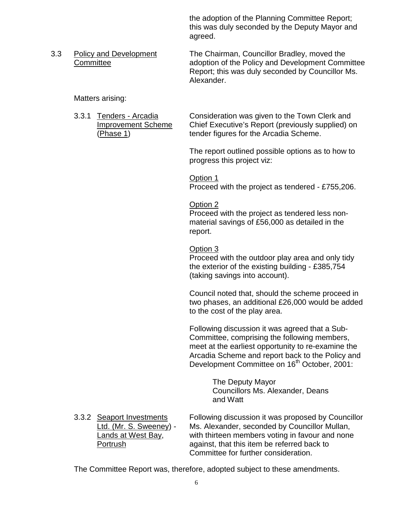the adoption of the Planning Committee Report; this was duly seconded by the Deputy Mayor and agreed.

3.3 Policy and Development The Chairman, Councillor Bradley, moved the Committee adoption of the Policy and Development Committee Report; this was duly seconded by Councillor Ms. Alexander.

Matters arising:

3.3.1 Tenders - Arcadia Consideration was given to the Town Clerk and Improvement Scheme Chief Executive's Report (previously supplied) on (Phase 1) tender figures for the Arcadia Scheme.

> The report outlined possible options as to how to progress this project viz:

> Option 1 Proceed with the project as tendered - £755,206.

# Option 2

Proceed with the project as tendered less nonmaterial savings of £56,000 as detailed in the report.

Option 3

Proceed with the outdoor play area and only tidy the exterior of the existing building - £385,754 (taking savings into account).

Council noted that, should the scheme proceed in two phases, an additional £26,000 would be added to the cost of the play area.

Following discussion it was agreed that a Sub-Committee, comprising the following members, meet at the earliest opportunity to re-examine the Arcadia Scheme and report back to the Policy and Development Committee on 16<sup>th</sup> October, 2001:

> The Deputy Mayor Councillors Ms. Alexander, Deans and Watt

3.3.2 Seaport Investments Following discussion it was proposed by Councillor Ltd. (Mr. S. Sweeney) - Ms. Alexander, seconded by Councillor Mullan, Lands at West Bay, with thirteen members voting in favour and none Portrush against, that this item be referred back to Committee for further consideration.

The Committee Report was, therefore, adopted subject to these amendments.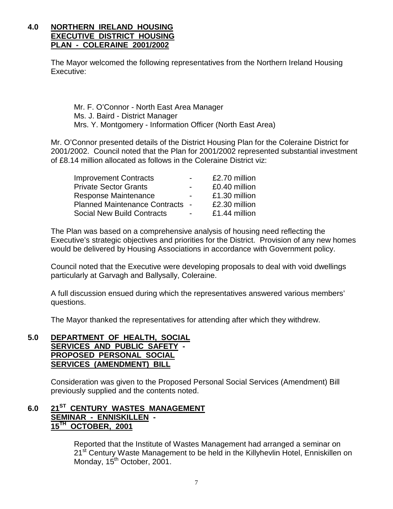# **4.0 NORTHERN IRELAND HOUSING EXECUTIVE DISTRICT HOUSING PLAN - COLERAINE 2001/2002**

The Mayor welcomed the following representatives from the Northern Ireland Housing Executive:

Mr. F. O'Connor - North East Area Manager Ms. J. Baird - District Manager Mrs. Y. Montgomery - Information Officer (North East Area)

Mr. O'Connor presented details of the District Housing Plan for the Coleraine District for 2001/2002. Council noted that the Plan for 2001/2002 represented substantial investment of £8.14 million allocated as follows in the Coleraine District viz:

| <b>Improvement Contracts</b>           | £2.70 million |
|----------------------------------------|---------------|
| <b>Private Sector Grants</b>           | £0.40 million |
| Response Maintenance                   | £1.30 million |
| <b>Planned Maintenance Contracts -</b> | £2.30 million |
| <b>Social New Build Contracts</b>      | £1.44 million |

The Plan was based on a comprehensive analysis of housing need reflecting the Executive's strategic objectives and priorities for the District. Provision of any new homes would be delivered by Housing Associations in accordance with Government policy.

Council noted that the Executive were developing proposals to deal with void dwellings particularly at Garvagh and Ballysally, Coleraine.

A full discussion ensued during which the representatives answered various members' questions.

The Mayor thanked the representatives for attending after which they withdrew.

# **5.0 DEPARTMENT OF HEALTH, SOCIAL SERVICES AND PUBLIC SAFETY - PROPOSED PERSONAL SOCIAL SERVICES (AMENDMENT) BILL**

Consideration was given to the Proposed Personal Social Services (Amendment) Bill previously supplied and the contents noted.

# **6.0 21ST CENTURY WASTES MANAGEMENT SEMINAR - ENNISKILLEN - 15TH OCTOBER, 2001**

Reported that the Institute of Wastes Management had arranged a seminar on 21<sup>st</sup> Century Waste Management to be held in the Killyhevlin Hotel, Enniskillen on Monday, 15<sup>th</sup> October, 2001.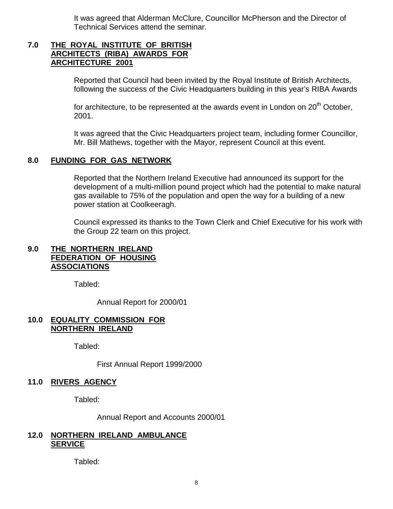It was agreed that Alderman McClure, Councillor McPherson and the Director of Technical Services attend the seminar.

# **7.0 THE ROYAL INSTITUTE OF BRITISH ARCHITECTS (RIBA) AWARDS FOR ARCHITECTURE 2001**

Reported that Council had been invited by the Royal Institute of British Architects, following the success of the Civic Headquarters building in this year's RIBA Awards

for architecture, to be represented at the awards event in London on  $20<sup>th</sup>$  October, 2001.

It was agreed that the Civic Headquarters project team, including former Councillor, Mr. Bill Mathews, together with the Mayor, represent Council at this event.

# **8.0 FUNDING FOR GAS NETWORK**

Reported that the Northern Ireland Executive had announced its support for the development of a multi-million pound project which had the potential to make natural gas available to 75% of the population and open the way for a building of a new power station at Coolkeeragh.

Council expressed its thanks to the Town Clerk and Chief Executive for his work with the Group 22 team on this project.

# **9.0 THE NORTHERN IRELAND FEDERATION OF HOUSING ASSOCIATIONS**

Tabled:

Annual Report for 2000/01

# **10.0 EQUALITY COMMISSION FOR NORTHERN IRELAND**

Tabled:

First Annual Report 1999/2000

# **11.0 RIVERS AGENCY**

Tabled:

Annual Report and Accounts 2000/01

# **12.0 NORTHERN IRELAND AMBULANCE SERVICE**

Tabled: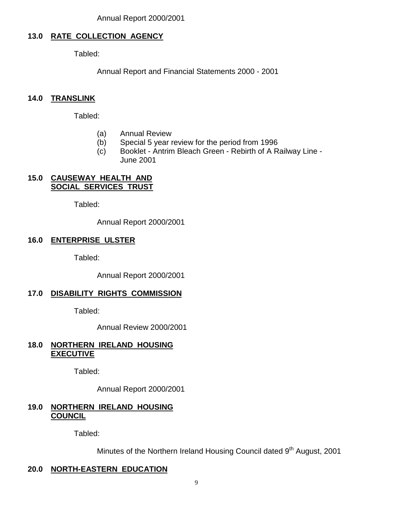# **13.0 RATE COLLECTION AGENCY**

Tabled:

Annual Report and Financial Statements 2000 - 2001

# **14.0 TRANSLINK**

Tabled:

- (a) Annual Review
- (b) Special 5 year review for the period from 1996
- (c) Booklet Antrim Bleach Green Rebirth of A Railway Line June 2001

# **15.0 CAUSEWAY HEALTH AND SOCIAL SERVICES TRUST**

Tabled:

Annual Report 2000/2001

# **16.0 ENTERPRISE ULSTER**

Tabled:

Annual Report 2000/2001

# **17.0 DISABILITY RIGHTS COMMISSION**

Tabled:

Annual Review 2000/2001

# **18.0 NORTHERN IRELAND HOUSING EXECUTIVE**

Tabled:

Annual Report 2000/2001

# **19.0 NORTHERN IRELAND HOUSING COUNCIL**

Tabled:

Minutes of the Northern Ireland Housing Council dated 9<sup>th</sup> August, 2001

# **20.0 NORTH-EASTERN EDUCATION**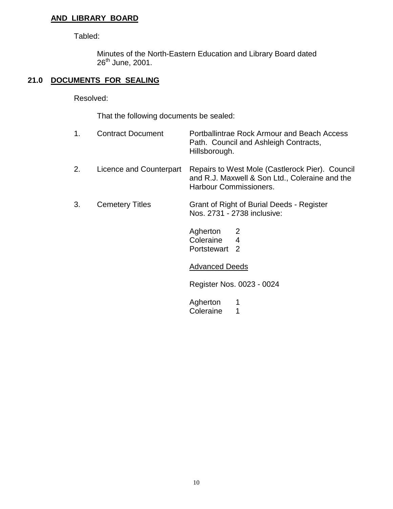# **AND LIBRARY BOARD**

Tabled:

Minutes of the North-Eastern Education and Library Board dated 26<sup>th</sup> June, 2001.

# **21.0 DOCUMENTS FOR SEALING**

Resolved:

That the following documents be sealed:

| 1. | <b>Contract Document</b> | Portballintrae Rock Armour and Beach Access<br>Path. Council and Ashleigh Contracts,<br>Hillsborough.                       |
|----|--------------------------|-----------------------------------------------------------------------------------------------------------------------------|
| 2. | Licence and Counterpart  | Repairs to West Mole (Castlerock Pier). Council<br>and R.J. Maxwell & Son Ltd., Coleraine and the<br>Harbour Commissioners. |
| 3. | <b>Cemetery Titles</b>   | Grant of Right of Burial Deeds - Register<br>Nos. 2731 - 2738 inclusive:                                                    |
|    |                          | Agherton<br>Coleraine<br>4<br>Portstewart <sub>2</sub>                                                                      |
|    |                          | <b>Advanced Deeds</b>                                                                                                       |
|    |                          | Register Nos. 0023 - 0024                                                                                                   |
|    |                          | Agherton<br>Coleraine<br>1                                                                                                  |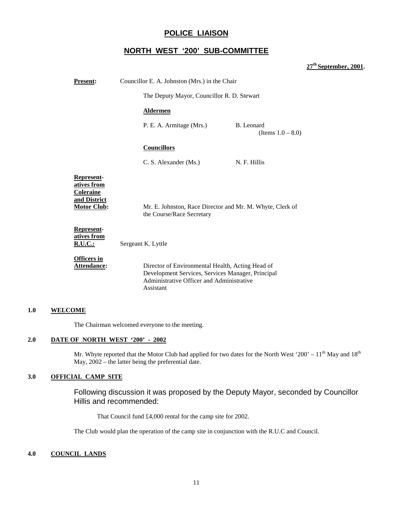# **POLICE LIAISON**

# **NORTH WEST '200' SUB-COMMITTEE**

# **27th September, 2001.**

| <b>Present:</b>                                                                            | Councillor E. A. Johnston (Mrs.) in the Chair                                                                                                                   |  |
|--------------------------------------------------------------------------------------------|-----------------------------------------------------------------------------------------------------------------------------------------------------------------|--|
|                                                                                            | The Deputy Mayor, Councillor R. D. Stewart                                                                                                                      |  |
|                                                                                            | <b>Aldermen</b>                                                                                                                                                 |  |
|                                                                                            | B. Leonard<br>P. E. A. Armitage (Mrs.)<br>(Items $1.0 - 8.0$ )                                                                                                  |  |
|                                                                                            | <b>Councillors</b>                                                                                                                                              |  |
|                                                                                            | C. S. Alexander (Ms.)<br>N. F. Hillis                                                                                                                           |  |
| <b>Represent-</b><br>atives from<br><b>Coleraine</b><br>and District<br><b>Motor Club:</b> | Mr. E. Johnston, Race Director and Mr. M. Whyte, Clerk of<br>the Course/Race Secretary                                                                          |  |
| Represent-<br>atives from<br><u>R.U.C.:</u>                                                | Sergeant K. Lyttle                                                                                                                                              |  |
| <b>Officers in</b><br>Attendance:                                                          | Director of Environmental Health, Acting Head of<br>Development Services, Services Manager, Principal<br>Administrative Officer and Administrative<br>Assistant |  |

#### **1.0 WELCOME**

The Chairman welcomed everyone to the meeting.

#### **2.0 DATE OF NORTH WEST '200' - 2002**

Mr. Whyte reported that the Motor Club had applied for two dates for the North West '200' –  $11<sup>th</sup>$  May and  $18<sup>th</sup>$ May,  $2002$  – the latter being the preferential date.

### **3.0 OFFICIAL CAMP SITE**

Following discussion it was proposed by the Deputy Mayor, seconded by Councillor Hillis and recommended:

That Council fund £4,000 rental for the camp site for 2002.

The Club would plan the operation of the camp site in conjunction with the R.U.C and Council.

#### **4.0 COUNCIL LANDS**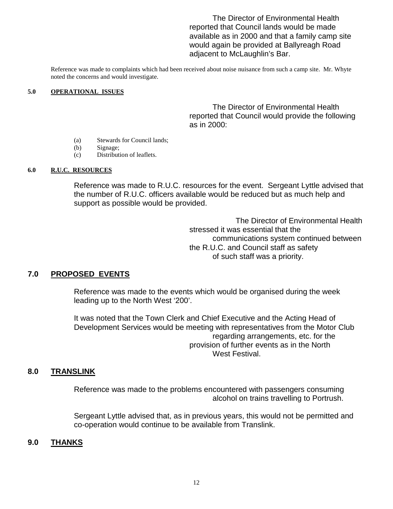The Director of Environmental Health reported that Council lands would be made available as in 2000 and that a family camp site would again be provided at Ballyreagh Road adjacent to McLaughlin's Bar.

Reference was made to complaints which had been received about noise nuisance from such a camp site. Mr. Whyte noted the concerns and would investigate.

#### **5.0 OPERATIONAL ISSUES**

The Director of Environmental Health reported that Council would provide the following as in 2000:

- (a) Stewards for Council lands;
- (b) Signage;
- (c) Distribution of leaflets.

### **6.0 R.U.C. RESOURCES**

Reference was made to R.U.C. resources for the event. Sergeant Lyttle advised that the number of R.U.C. officers available would be reduced but as much help and support as possible would be provided.

> The Director of Environmental Health stressed it was essential that the communications system continued between the R.U.C. and Council staff as safety of such staff was a priority.

# **7.0 PROPOSED EVENTS**

Reference was made to the events which would be organised during the week leading up to the North West '200'.

It was noted that the Town Clerk and Chief Executive and the Acting Head of Development Services would be meeting with representatives from the Motor Club regarding arrangements, etc. for the provision of further events as in the North West Festival.

# **8.0 TRANSLINK**

Reference was made to the problems encountered with passengers consuming alcohol on trains travelling to Portrush.

Sergeant Lyttle advised that, as in previous years, this would not be permitted and co-operation would continue to be available from Translink.

# **9.0 THANKS**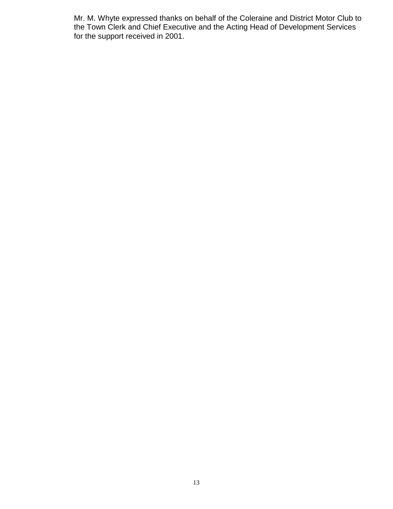Mr. M. Whyte expressed thanks on behalf of the Coleraine and District Motor Club to the Town Clerk and Chief Executive and the Acting Head of Development Services for the support received in 2001.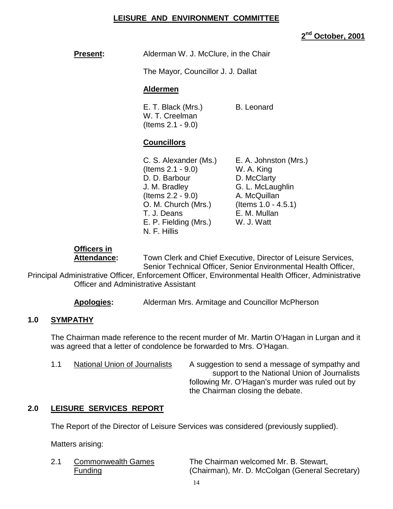# **LEISURE AND ENVIRONMENT COMMITTEE**

# **2nd October, 2001**

# **Present:** Alderman W. J. McClure, in the Chair

The Mayor, Councillor J. J. Dallat

# **Aldermen**

E. T. Black (Mrs.) B. Leonard W. T. Creelman (Items 2.1 - 9.0)

# **Councillors**

| C. S. Alexander (Ms.) | E. A. Johnston (Mrs.)  |
|-----------------------|------------------------|
| (Items $2.1 - 9.0$ )  | W. A. King             |
| D. D. Barbour         | D. McClarty            |
| J. M. Bradley         | G. L. McLaughlin       |
| (Items $2.2 - 9.0$ )  | A. McQuillan           |
| O. M. Church (Mrs.)   | (Items $1.0 - 4.5.1$ ) |
| T. J. Deans           | E. M. Mullan           |
| E. P. Fielding (Mrs.) | W. J. Watt             |
| N. F. Hillis          |                        |

# **Officers in**

**Attendance:** Town Clerk and Chief Executive, Director of Leisure Services, Senior Technical Officer, Senior Environmental Health Officer,

Principal Administrative Officer, Enforcement Officer, Environmental Health Officer, Administrative Officer and Administrative Assistant

**Apologies:** Alderman Mrs. Armitage and Councillor McPherson

# **1.0 SYMPATHY**

The Chairman made reference to the recent murder of Mr. Martin O'Hagan in Lurgan and it was agreed that a letter of condolence be forwarded to Mrs. O'Hagan.

1.1 National Union of Journalists A suggestion to send a message of sympathy and support to the National Union of Journalists following Mr. O'Hagan's murder was ruled out by the Chairman closing the debate.

# **2.0 LEISURE SERVICES REPORT**

The Report of the Director of Leisure Services was considered (previously supplied).

Matters arising:

2.1 Commonwealth Games The Chairman welcomed Mr. B. Stewart, Funding (Chairman), Mr. D. McColgan (General Secretary)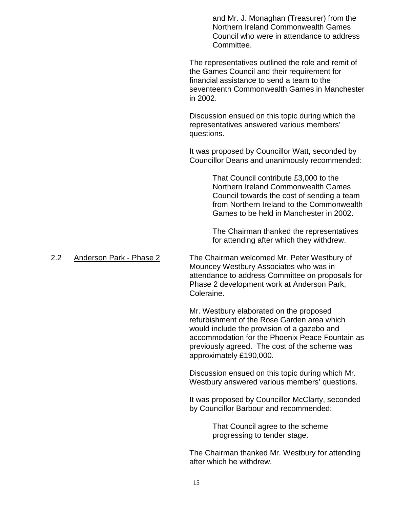and Mr. J. Monaghan (Treasurer) from the Northern Ireland Commonwealth Games Council who were in attendance to address Committee.

The representatives outlined the role and remit of the Games Council and their requirement for financial assistance to send a team to the seventeenth Commonwealth Games in Manchester in 2002.

Discussion ensued on this topic during which the representatives answered various members' questions.

It was proposed by Councillor Watt, seconded by Councillor Deans and unanimously recommended:

> That Council contribute £3,000 to the Northern Ireland Commonwealth Games Council towards the cost of sending a team from Northern Ireland to the Commonwealth Games to be held in Manchester in 2002.

The Chairman thanked the representatives for attending after which they withdrew.

2.2 Anderson Park - Phase 2 The Chairman welcomed Mr. Peter Westbury of Mouncey Westbury Associates who was in attendance to address Committee on proposals for Phase 2 development work at Anderson Park, Coleraine.

> Mr. Westbury elaborated on the proposed refurbishment of the Rose Garden area which would include the provision of a gazebo and accommodation for the Phoenix Peace Fountain as previously agreed. The cost of the scheme was approximately £190,000.

Discussion ensued on this topic during which Mr. Westbury answered various members' questions.

It was proposed by Councillor McClarty, seconded by Councillor Barbour and recommended:

> That Council agree to the scheme progressing to tender stage.

The Chairman thanked Mr. Westbury for attending after which he withdrew.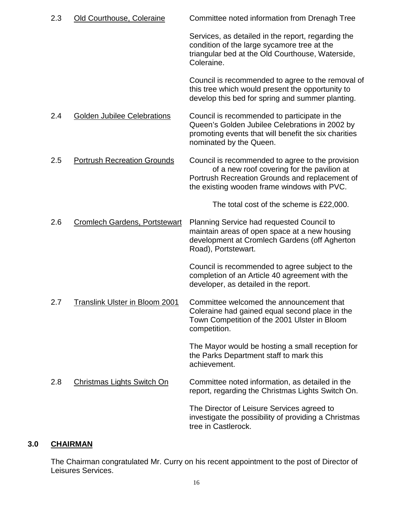| 2.3 | Old Courthouse, Coleraine          | Committee noted information from Drenagh Tree                                                                                                                                                   |
|-----|------------------------------------|-------------------------------------------------------------------------------------------------------------------------------------------------------------------------------------------------|
|     |                                    | Services, as detailed in the report, regarding the<br>condition of the large sycamore tree at the<br>triangular bed at the Old Courthouse, Waterside,<br>Coleraine.                             |
|     |                                    | Council is recommended to agree to the removal of<br>this tree which would present the opportunity to<br>develop this bed for spring and summer planting.                                       |
| 2.4 | <b>Golden Jubilee Celebrations</b> | Council is recommended to participate in the<br>Queen's Golden Jubilee Celebrations in 2002 by<br>promoting events that will benefit the six charities<br>nominated by the Queen.               |
| 2.5 | <b>Portrush Recreation Grounds</b> | Council is recommended to agree to the provision<br>of a new roof covering for the pavilion at<br>Portrush Recreation Grounds and replacement of<br>the existing wooden frame windows with PVC. |
|     |                                    | The total cost of the scheme is £22,000.                                                                                                                                                        |
| 2.6 | Cromlech Gardens, Portstewart      | Planning Service had requested Council to<br>maintain areas of open space at a new housing<br>development at Cromlech Gardens (off Agherton<br>Road), Portstewart.                              |
|     |                                    | Council is recommended to agree subject to the<br>completion of an Article 40 agreement with the<br>developer, as detailed in the report.                                                       |
| 2.7 | Translink Ulster in Bloom 2001     | Committee welcomed the announcement that<br>Coleraine had gained equal second place in the<br>Town Competition of the 2001 Ulster in Bloom<br>competition.                                      |
|     |                                    | The Mayor would be hosting a small reception for<br>the Parks Department staff to mark this<br>achievement.                                                                                     |
| 2.8 | <b>Christmas Lights Switch On</b>  | Committee noted information, as detailed in the<br>report, regarding the Christmas Lights Switch On.                                                                                            |
|     |                                    | The Director of Leisure Services agreed to<br>investigate the possibility of providing a Christmas<br>tree in Castlerock.                                                                       |

# **3.0 CHAIRMAN**

The Chairman congratulated Mr. Curry on his recent appointment to the post of Director of Leisures Services.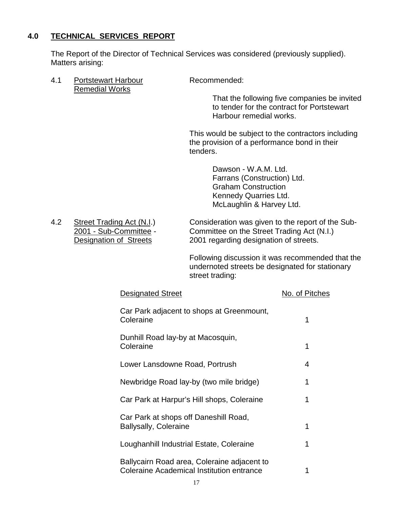# **4.0 TECHNICAL SERVICES REPORT**

The Report of the Director of Technical Services was considered (previously supplied). Matters arising:

4.1 Portstewart Harbour Recommended: Remedial Works

That the following five companies be invited to tender for the contract for Portstewart Harbour remedial works.

This would be subject to the contractors including the provision of a performance bond in their tenders.

> Dawson - W.A.M. Ltd. Farrans (Construction) Ltd. Graham Construction Kennedy Quarries Ltd. McLaughlin & Harvey Ltd.

4.2 Street Trading Act (N.I.) Consideration was given to the report of the Sub-<br>2001 - Sub-Committee - Committee on the Street Trading Act (N.I.) Committee on the Street Trading Act (N.I.) Designation of Streets 2001 regarding designation of streets.

> Following discussion it was recommended that the undernoted streets be designated for stationary street trading:

| <b>Designated Street</b>                                                                 | No. of Pitches |
|------------------------------------------------------------------------------------------|----------------|
| Car Park adjacent to shops at Greenmount,<br>Coleraine                                   | 1              |
| Dunhill Road lay-by at Macosquin,<br>Coleraine                                           | 1              |
| Lower Lansdowne Road, Portrush                                                           | 4              |
| Newbridge Road lay-by (two mile bridge)                                                  | 1              |
| Car Park at Harpur's Hill shops, Coleraine                                               | 1              |
| Car Park at shops off Daneshill Road,<br><b>Ballysally, Coleraine</b>                    | 1              |
| Loughanhill Industrial Estate, Coleraine                                                 | 1              |
| Ballycairn Road area, Coleraine adjacent to<br>Coleraine Academical Institution entrance | 1              |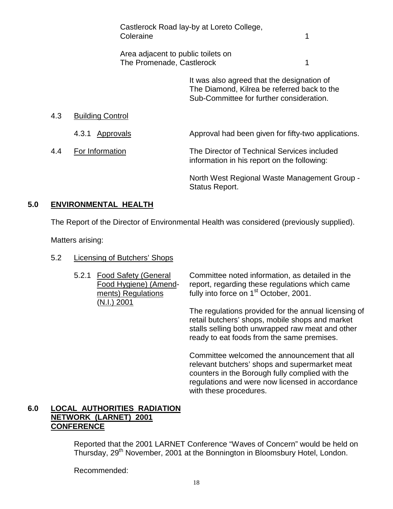|     | Coleraine                                                       | Castlerock Road lay-by at Loreto College,                                                                                             | 1 |
|-----|-----------------------------------------------------------------|---------------------------------------------------------------------------------------------------------------------------------------|---|
|     | Area adjacent to public toilets on<br>The Promenade, Castlerock |                                                                                                                                       | 1 |
|     |                                                                 | It was also agreed that the designation of<br>The Diamond, Kilrea be referred back to the<br>Sub-Committee for further consideration. |   |
| 4.3 | <b>Building Control</b>                                         |                                                                                                                                       |   |
|     | Approvals<br>4.3.1                                              | Approval had been given for fifty-two applications.                                                                                   |   |
| 4.4 | For Information                                                 | The Director of Technical Services included<br>information in his report on the following:                                            |   |
|     |                                                                 | North West Regional Waste Management Group -<br>Status Report.                                                                        |   |

# **5.0 ENVIRONMENTAL HEALTH**

The Report of the Director of Environmental Health was considered (previously supplied).

Matters arising:

- 5.2 Licensing of Butchers' Shops
	- (N.I.) 2001

5.2.1 Food Safety (General Committee noted information, as detailed in the Food Hygiene) (Amend- report, regarding these regulations which came ments) Regulations fully into force on 1<sup>st</sup> October, 2001.

> The regulations provided for the annual licensing of retail butchers' shops, mobile shops and market stalls selling both unwrapped raw meat and other ready to eat foods from the same premises.

Committee welcomed the announcement that all relevant butchers' shops and supermarket meat counters in the Borough fully complied with the regulations and were now licensed in accordance with these procedures.

# **6.0 LOCAL AUTHORITIES RADIATION NETWORK (LARNET) 2001 CONFERENCE**

Reported that the 2001 LARNET Conference "Waves of Concern" would be held on Thursday, 29<sup>th</sup> November, 2001 at the Bonnington in Bloomsbury Hotel, London.

Recommended: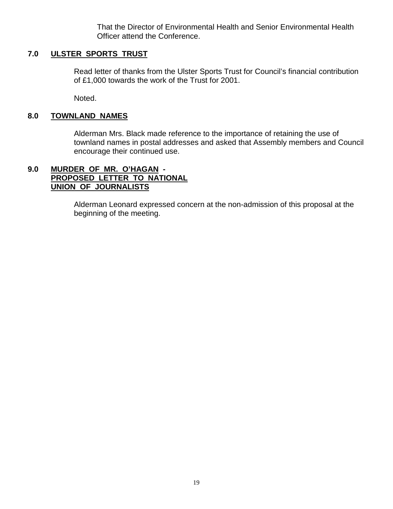That the Director of Environmental Health and Senior Environmental Health Officer attend the Conference.

# **7.0 ULSTER SPORTS TRUST**

Read letter of thanks from the Ulster Sports Trust for Council's financial contribution of £1,000 towards the work of the Trust for 2001.

Noted.

# **8.0 TOWNLAND NAMES**

Alderman Mrs. Black made reference to the importance of retaining the use of townland names in postal addresses and asked that Assembly members and Council encourage their continued use.

# **9.0 MURDER OF MR. O'HAGAN - PROPOSED LETTER TO NATIONAL UNION OF JOURNALISTS**

Alderman Leonard expressed concern at the non-admission of this proposal at the beginning of the meeting.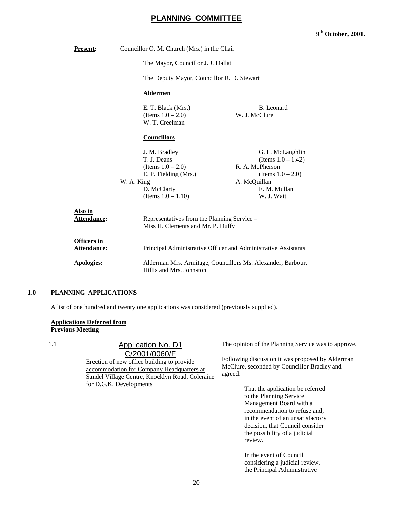# **PLANNING COMMITTEE**

#### **9th October, 2001.**

| <b>Present:</b>                          | Councillor O. M. Church (Mrs.) in the Chair                  |                                                                                  |  |  |
|------------------------------------------|--------------------------------------------------------------|----------------------------------------------------------------------------------|--|--|
|                                          | The Mayor, Councillor J. J. Dallat                           |                                                                                  |  |  |
|                                          |                                                              | The Deputy Mayor, Councillor R. D. Stewart                                       |  |  |
|                                          | <b>Aldermen</b>                                              |                                                                                  |  |  |
|                                          | E. T. Black (Mrs.)<br>(Items $1.0 - 2.0$ )<br>W. T. Creelman | B. Leonard<br>W. J. McClure                                                      |  |  |
|                                          | <b>Councillors</b>                                           |                                                                                  |  |  |
|                                          | J. M. Bradley<br>T. J. Deans                                 | G. L. McLaughlin<br>(Items $1.0 - 1.42$ )                                        |  |  |
|                                          | (Items $1.0 - 2.0$ )                                         | R. A. McPherson                                                                  |  |  |
|                                          | E. P. Fielding (Mrs.)                                        | (Items $1.0 - 2.0$ )                                                             |  |  |
|                                          | W. A. King                                                   | A. McQuillan                                                                     |  |  |
|                                          | D. McClarty                                                  | E. M. Mullan                                                                     |  |  |
|                                          | (Items $1.0 - 1.10$ )                                        | W. J. Watt                                                                       |  |  |
| Also in<br>Attendance:                   |                                                              | Representatives from the Planning Service -<br>Miss H. Clements and Mr. P. Duffy |  |  |
| <b>Officers in</b><br><b>Attendance:</b> |                                                              | Principal Administrative Officer and Administrative Assistants                   |  |  |
| <b>Apologies:</b>                        | Hillis and Mrs. Johnston                                     | Alderman Mrs. Armitage, Councillors Ms. Alexander, Barbour,                      |  |  |

#### **1.0 PLANNING APPLICATIONS**

A list of one hundred and twenty one applications was considered (previously supplied).

#### **Applications Deferred from Previous Meeting**

### 1.1 Application No. D1 C/2001/0060/F

Erection of new office building to provide accommodation for Company Headquarters at Sandel Village Centre, Knocklyn Road, Coleraine for D.G.K. Developments

The opinion of the Planning Service was to approve.

Following discussion it was proposed by Alderman McClure, seconded by Councillor Bradley and agreed:

> That the application be referred to the Planning Service Management Board with a recommendation to refuse and, in the event of an unsatisfactory decision, that Council consider the possibility of a judicial review.

In the event of Council considering a judicial review, the Principal Administrative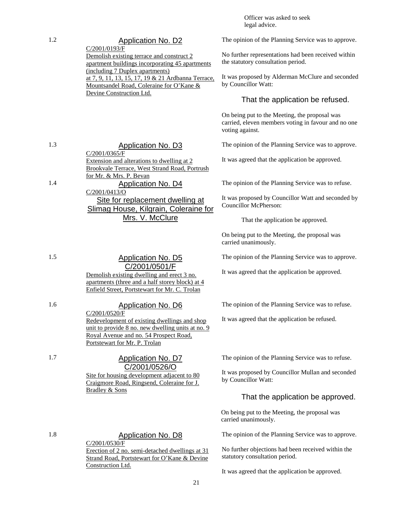Officer was asked to seek legal advice.

#### The opinion of the Planning Service was to approve.

No further representations had been received within the statutory consultation period.

It was proposed by Alderman McClure and seconded by Councillor Watt:

#### That the application be refused.

On being put to the Meeting, the proposal was carried, eleven members voting in favour and no one voting against.

The opinion of the Planning Service was to approve.

It was agreed that the application be approved.

The opinion of the Planning Service was to refuse.

It was proposed by Councillor Watt and seconded by Councillor McPherson:

That the application be approved.

On being put to the Meeting, the proposal was carried unanimously.

The opinion of the Planning Service was to approve.

It was agreed that the application be approved.

The opinion of the Planning Service was to refuse.

It was agreed that the application be refused.

The opinion of the Planning Service was to refuse.

It was proposed by Councillor Mullan and seconded by Councillor Watt:

## That the application be approved.

On being put to the Meeting, the proposal was carried unanimously.

The opinion of the Planning Service was to approve.

No further objections had been received within the statutory consultation period.

It was agreed that the application be approved.

1.3 Application No. D3 C/2001/0365/F Extension and alterations to dwelling at 2 Brookvale Terrace, West Strand Road, Portrush for Mr. & Mrs. P. Bevan 1.4 Application No. D4 C/2001/0413/O Site for replacement dwelling at Slimag House, Kilgrain, Coleraine for Mrs. V. McClure

1.2 Application No. D2 C/2001/0193/F

> Demolish existing terrace and construct 2 apartment buildings incorporating 45 apartments

at 7, 9, 11, 13, 15, 17, 19 & 21 Ardbanna Terrace, Mountsandel Road, Coleraine for O'Kane &

(including 7 Duplex apartments)

Devine Construction Ltd.

1.5 Application No. D5 C/2001/0501/F Demolish existing dwelling and erect 3 no.

apartments (three and a half storey block) at 4 Enfield Street, Portstewart for Mr. C. Trolan

1.6 Application No. D6 C/2001/0520/F Redevelopment of existing dwellings and shop unit to provide 8 no. new dwelling units at no. 9 Royal Avenue and no. 54 Prospect Road, Portstewart for Mr. P. Trolan

> C/2001/0526/O Site for housing development adjacent to 80 Craigmore Road, Ringsend, Coleraine for J. Bradley & Sons

1.8 Application No. D8 C/2001/0530/F Erection of 2 no. semi-detached dwellings at 31 Strand Road, Portstewart for O'Kane & Devine Construction Ltd.

#### 1.7 Application No. D7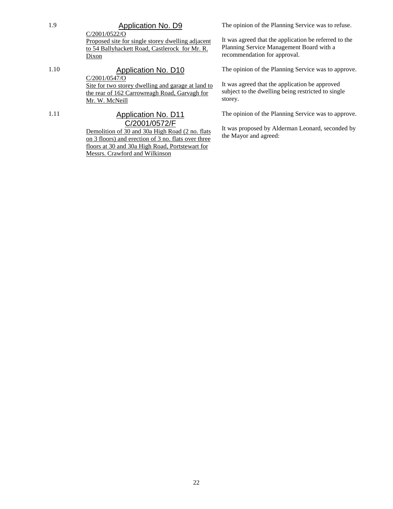# 1.9 Application No. D9

C/2001/0522/O Proposed site for single storey dwelling adjacent to 54 Ballyhackett Road, Castlerock for Mr. R. Dixon

1.10 **Application No. D10** C/2001/0547/O Site for two storey dwelling and garage at land to the rear of 162 Carrowreagh Road, Garvagh for Mr. W. McNeill 1.11 Application No. D11

# C/2001/0572/F

Demolition of 30 and 30a High Road (2 no. flats on 3 floors) and erection of 3 no. flats over three floors at 30 and 30a High Road, Portstewart for Messrs. Crawford and Wilkinson

The opinion of the Planning Service was to refuse.

It was agreed that the application be referred to the Planning Service Management Board with a recommendation for approval.

The opinion of the Planning Service was to approve.

It was agreed that the application be approved subject to the dwelling being restricted to single storey.

The opinion of the Planning Service was to approve.

It was proposed by Alderman Leonard, seconded by the Mayor and agreed: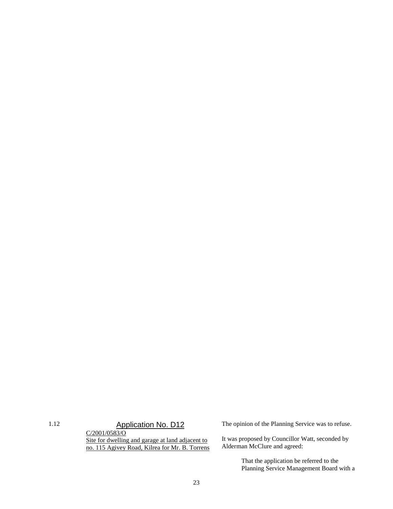1.12 **Application No. D12** C/2001/0583/O Site for dwelling and garage at land adjacent to no. 115 Agivey Road, Kilrea for Mr. B. Torrens The opinion of the Planning Service was to refuse.

It was proposed by Councillor Watt, seconded by Alderman McClure and agreed:

> That the application be referred to the Planning Service Management Board with a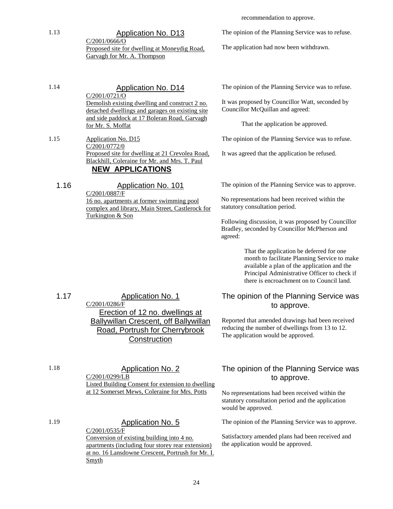1.13 Application No. D13 C/2001/0666/O Proposed site for dwelling at Moneydig Road, Garvagh for Mr. A. Thompson

recommendation to approve.

The opinion of the Planning Service was to refuse.

The application had now been withdrawn.

1.14 Application No. D14

C/2001/0721/O Demolish existing dwelling and construct 2 no. detached dwellings and garages on existing site and side paddock at 17 Boleran Road, Garvagh for Mr. S. Moffat

1.15 Application No. D15 C/2001/0772/0 Proposed site for dwelling at 21 Crevolea Road, Blackhill, Coleraine for Mr. and Mrs. T. Paul **NEW APPLICATIONS**

1.16 Application No. 101 C/2001/0887/F 16 no. apartments at former swimming pool complex and library, Main Street, Castlerock for Turkington & Son

The opinion of the Planning Service was to refuse.

It was proposed by Councillor Watt, seconded by Councillor McQuillan and agreed:

That the application be approved.

The opinion of the Planning Service was to refuse.

It was agreed that the application be refused.

The opinion of the Planning Service was to approve.

No representations had been received within the statutory consultation period.

Following discussion, it was proposed by Councillor Bradley, seconded by Councillor McPherson and agreed:

> That the application be deferred for one month to facilitate Planning Service to make available a plan of the application and the Principal Administrative Officer to check if there is encroachment on to Council land.

# The opinion of the Planning Service was to approve.

Reported that amended drawings had been received reducing the number of dwellings from 13 to 12. The application would be approved.

# The opinion of the Planning Service was to approve.

No representations had been received within the statutory consultation period and the application would be approved.

The opinion of the Planning Service was to approve.

Satisfactory amended plans had been received and the application would be approved.

1.17 Application No. 1 C/2001/0286/F Erection of 12 no. dwellings at Ballywillan Crescent, off Ballywillan Road, Portrush for Cherrybrook **Construction** 

1.18 Application No. 2 C/2001/0299/LB Listed Building Consent for extension to dwelling at 12 Somerset Mews, Coleraine for Mrs. Potts

1.19 Application No. 5 C/2001/0535/F Conversion of existing building into 4 no. apartments (including four storey rear extension) at no. 16 Lansdowne Crescent, Portrush for Mr. I. Smyth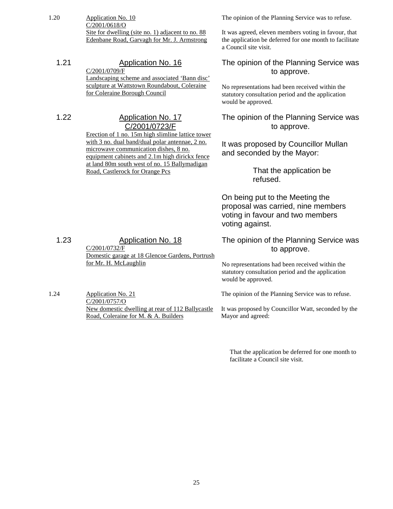1.20 Application No. 10 C/2001/0618/O Site for dwelling (site no. 1) adjacent to no. 88 Edenbane Road, Garvagh for Mr. J. Armstrong

1.21 Application No. 16 C/2001/0709/F Landscaping scheme and associated 'Bann disc' sculpture at Wattstown Roundabout, Coleraine for Coleraine Borough Council

1.22 Application No. 17

# C/2001/0723/F

Erection of 1 no. 15m high slimline lattice tower with 3 no. dual band/dual polar antennae, 2 no. microwave communication dishes, 8 no. equipment cabinets and 2.1m high dirickx fence at land 80m south west of no. 15 Ballymadigan Road, Castlerock for Orange Pcs

The opinion of the Planning Service was to refuse.

It was agreed, eleven members voting in favour, that the application be deferred for one month to facilitate a Council site visit.

The opinion of the Planning Service was to approve.

No representations had been received within the statutory consultation period and the application would be approved.

The opinion of the Planning Service was to approve.

It was proposed by Councillor Mullan and seconded by the Mayor:

> That the application be refused.

On being put to the Meeting the proposal was carried, nine members voting in favour and two members voting against.

The opinion of the Planning Service was to approve.

No representations had been received within the statutory consultation period and the application would be approved.

The opinion of the Planning Service was to refuse.

It was proposed by Councillor Watt, seconded by the Mayor and agreed:

That the application be deferred for one month to facilitate a Council site visit.

1.23 Application No. 18 C/2001/0732/F Domestic garage at 18 Glencoe Gardens, Portrush for Mr. H. McLaughlin

1.24 Application No. 21 C/2001/0757/O New domestic dwelling at rear of 112 Ballycastle Road, Coleraine for M. & A. Builders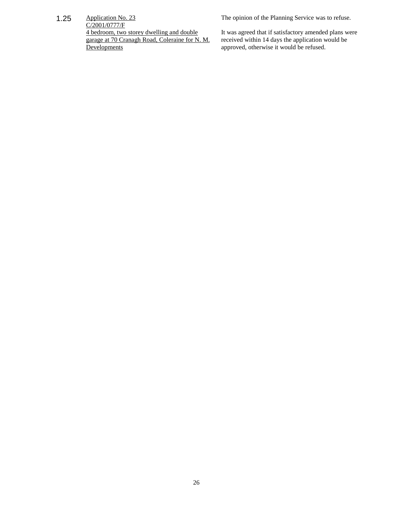1.25 Application No. 23

The opinion of the Planning Service was to refuse.

 $C/2001/0777/F$ 4 bedroom, two storey dwelling and double garage at 70 Cranagh Road, Coleraine for N. M. **Developments** 

It was agreed that if satisfactory amended plans were received within 14 days the application would be approved, otherwise it would be refused.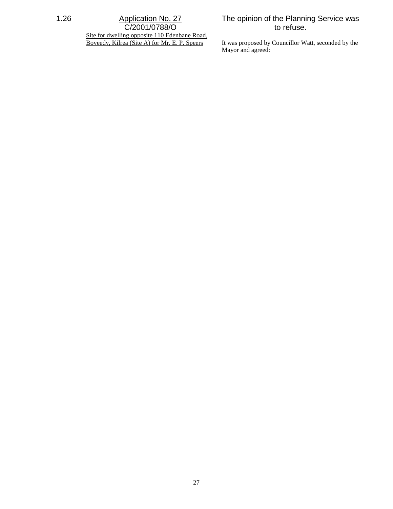# 1.26 Application No. 27 C/2001/0788/O

Site for dwelling opposite 110 Edenbane Road, Boveedy, Kilrea (Site A) for Mr. E. P. Speers

# The opinion of the Planning Service was to refuse.

It was proposed by Councillor Watt, seconded by the Mayor and agreed: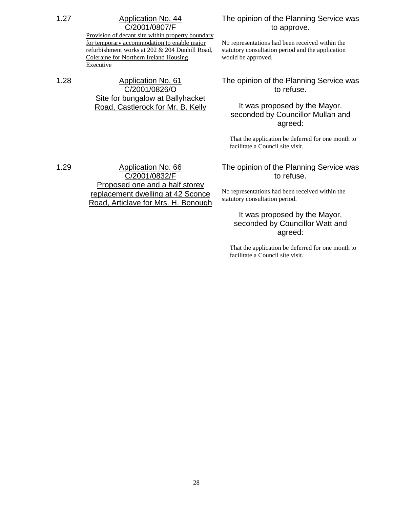Provision of decant site within property boundary for temporary accommodation to enable major refurbishment works at 202 & 204 Dunhill Road, Coleraine for Northern Ireland Housing Executive

# 1.28 Application No. 61 C/2001/0826/O Site for bungalow at Ballyhacket Road, Castlerock for Mr. B. Kelly

## The opinion of the Planning Service was to approve.

No representations had been received within the statutory consultation period and the application would be approved.

# The opinion of the Planning Service was to refuse.

# It was proposed by the Mayor, seconded by Councillor Mullan and agreed:

That the application be deferred for one month to facilitate a Council site visit.

1.29 Application No. 66 C/2001/0832/F Proposed one and a half storey replacement dwelling at 42 Sconce Road, Articlave for Mrs. H. Bonough

## The opinion of the Planning Service was to refuse.

No representations had been received within the statutory consultation period.

# It was proposed by the Mayor, seconded by Councillor Watt and agreed:

That the application be deferred for one month to facilitate a Council site visit.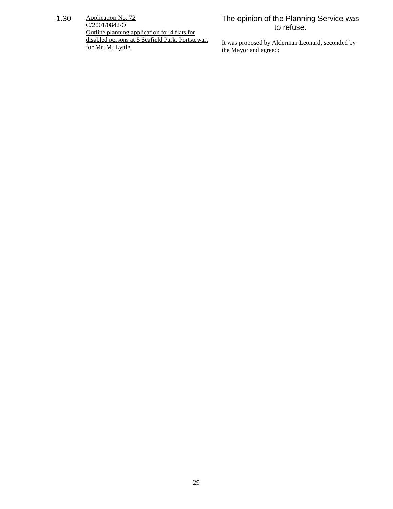1.30 Application No. 72 C/2001/0842/O Outline planning application for 4 flats for disabled persons at 5 Seafield Park, Portstewart for Mr. M. Lyttle

# The opinion of the Planning Service was to refuse.

It was proposed by Alderman Leonard, seconded by the Mayor and agreed: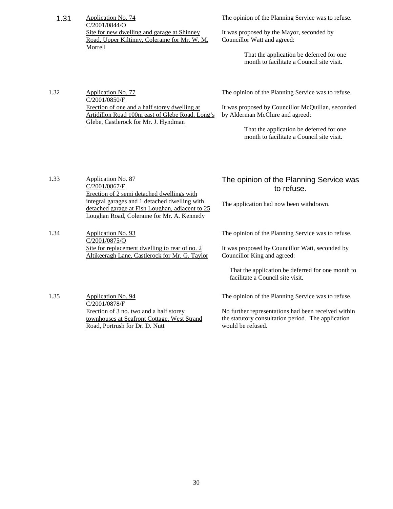1.31 Application No. 74 C/2001/0844/O Site for new dwelling and garage at Shinney Road, Upper Kiltinny, Coleraine for Mr. W. M. Morrell

The opinion of the Planning Service was to refuse.

It was proposed by the Mayor, seconded by Councillor Watt and agreed:

> That the application be deferred for one month to facilitate a Council site visit.

1.32 Application No. 77 C/2001/0850/F Erection of one and a half storey dwelling at Artidillon Road 100m east of Glebe Road, Long's Glebe, Castlerock for Mr. J. Hyndman

The opinion of the Planning Service was to refuse.

It was proposed by Councillor McQuillan, seconded by Alderman McClure and agreed:

> That the application be deferred for one month to facilitate a Council site visit.

- 1.33 **Application No. 87** C/2001/0867/F Erection of 2 semi detached dwellings with integral garages and 1 detached dwelling with detached garage at Fish Loughan, adjacent to 25 Loughan Road, Coleraine for Mr. A. Kennedy
- 1.34 Application No. 93 C/2001/0875/O Site for replacement dwelling to rear of no. 2 Altikeeragh Lane, Castlerock for Mr. G. Taylor

# The opinion of the Planning Service was to refuse.

The application had now been withdrawn.

The opinion of the Planning Service was to refuse.

It was proposed by Councillor Watt, seconded by Councillor King and agreed:

That the application be deferred for one month to facilitate a Council site visit.

1.35 Application No. 94 C/2001/0878/F Erection of 3 no. two and a half storey townhouses at Seafront Cottage, West Strand Road, Portrush for Dr. D. Nutt

The opinion of the Planning Service was to refuse.

No further representations had been received within the statutory consultation period. The application would be refused.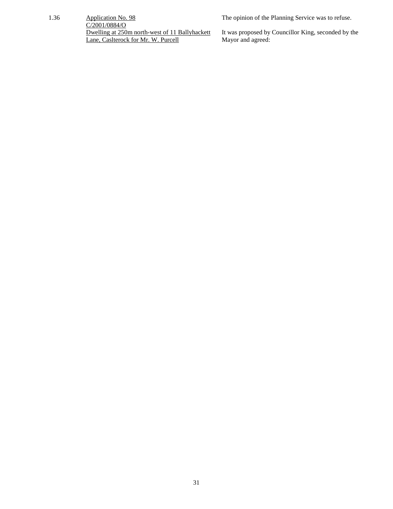#### 1.36 Application No. 98

The opinion of the Planning Service was to refuse.

C/2001/0884/O Dwelling at 250m north-west of 11 Ballyhackett Lane, Caslterock for Mr. W. Purcell

It was proposed by Councillor King, seconded by the Mayor and agreed: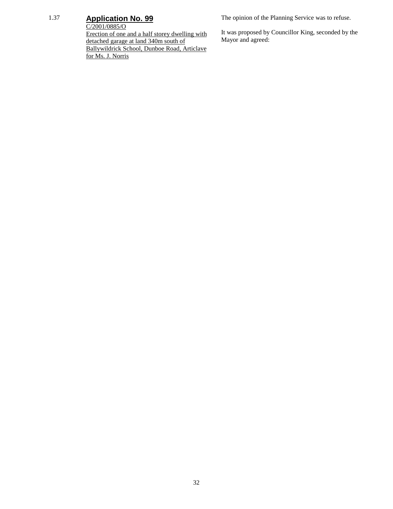# 1.37 **Application No. 99**

C/2001/0885/O Erection of one and a half storey dwelling with detached garage at land 340m south of Ballywildrick School, Dunboe Road, Articlave

for Ms. J. Norris

The opinion of the Planning Service was to refuse.

It was proposed by Councillor King, seconded by the Mayor and agreed: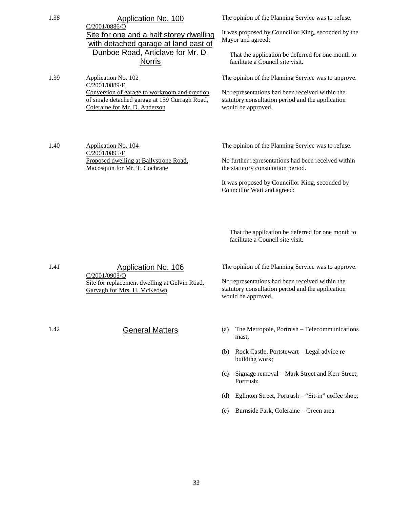| 1.38<br>1.39 | Application No. 100<br>$C/2001/0886$ /O<br>Site for one and a half storey dwelling<br>with detached garage at land east of<br>Dunboe Road, Articlave for Mr. D.<br><b>Norris</b><br>Application No. 102<br>C/2001/0889/F<br>Conversion of garage to workroom and erection<br>of single detached garage at 159 Curragh Road,<br>Coleraine for Mr. D. Anderson | The opinion of the Planning Service was to refuse.<br>It was proposed by Councillor King, seconded by the<br>Mayor and agreed:<br>That the application be deferred for one month to<br>facilitate a Council site visit.<br>The opinion of the Planning Service was to approve.<br>No representations had been received within the<br>statutory consultation period and the application<br>would be approved. |
|--------------|--------------------------------------------------------------------------------------------------------------------------------------------------------------------------------------------------------------------------------------------------------------------------------------------------------------------------------------------------------------|--------------------------------------------------------------------------------------------------------------------------------------------------------------------------------------------------------------------------------------------------------------------------------------------------------------------------------------------------------------------------------------------------------------|
| 1.40         | Application No. 104<br>C/2001/0895/F<br>Proposed dwelling at Ballystrone Road,<br>Macosquin for Mr. T. Cochrane                                                                                                                                                                                                                                              | The opinion of the Planning Service was to refuse.<br>No further representations had been received within<br>the statutory consultation period.<br>It was proposed by Councillor King, seconded by<br>Councillor Watt and agreed:                                                                                                                                                                            |
|              |                                                                                                                                                                                                                                                                                                                                                              | That the application be deferred for one month to<br>facilitate a Council site visit.                                                                                                                                                                                                                                                                                                                        |
| 1.41         | Application No. 106<br>C/2001/0903/O<br>Site for replacement dwelling at Gelvin Road,<br>Garvagh for Mrs. H. McKeown                                                                                                                                                                                                                                         | The opinion of the Planning Service was to approve.<br>No representations had been received within the<br>statutory consultation period and the application<br>would be approved.                                                                                                                                                                                                                            |
| 1.42         | <b>General Matters</b>                                                                                                                                                                                                                                                                                                                                       | The Metropole, Portrush - Telecommunications<br>(a)<br>mast;<br>Rock Castle, Portstewart – Legal advice re<br>(b)<br>building work;<br>Signage removal - Mark Street and Kerr Street,<br>(c)<br>Portrush;<br>Eglinton Street, Portrush - "Sit-in" coffee shop;<br>(d)<br>Burnside Park, Coleraine - Green area.<br>(e)                                                                                       |
|              |                                                                                                                                                                                                                                                                                                                                                              |                                                                                                                                                                                                                                                                                                                                                                                                              |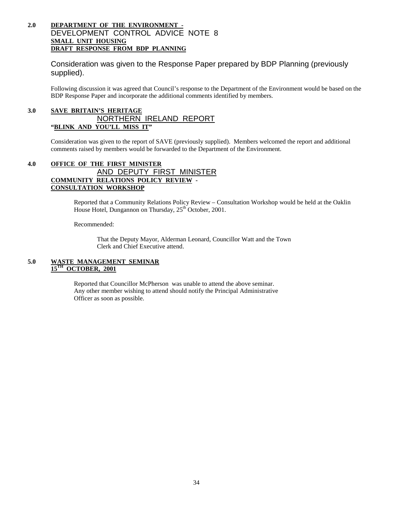### **2.0 DEPARTMENT OF THE ENVIRONMENT -** DEVELOPMENT CONTROL ADVICE NOTE 8 **SMALL UNIT HOUSING DRAFT RESPONSE FROM BDP PLANNING**

Consideration was given to the Response Paper prepared by BDP Planning (previously supplied).

Following discussion it was agreed that Council's response to the Department of the Environment would be based on the BDP Response Paper and incorporate the additional comments identified by members.

## **3.0 SAVE BRITAIN'S HERITAGE** NORTHERN IRELAND REPORT **"BLINK AND YOU'LL MISS IT"**

Consideration was given to the report of SAVE (previously supplied). Members welcomed the report and additional comments raised by members would be forwarded to the Department of the Environment.

### **4.0 OFFICE OF THE FIRST MINISTER** AND DEPUTY FIRST MINISTER **COMMUNITY RELATIONS POLICY REVIEW - CONSULTATION WORKSHOP**

Reported that a Community Relations Policy Review – Consultation Workshop would be held at the Oaklin House Hotel, Dungannon on Thursday, 25<sup>th</sup> October, 2001.

Recommended:

That the Deputy Mayor, Alderman Leonard, Councillor Watt and the Town Clerk and Chief Executive attend.

#### **5.0 WASTE MANAGEMENT SEMINAR 0CTOBER, 2001**

Reported that Councillor McPherson was unable to attend the above seminar. Any other member wishing to attend should notify the Principal Administrative Officer as soon as possible.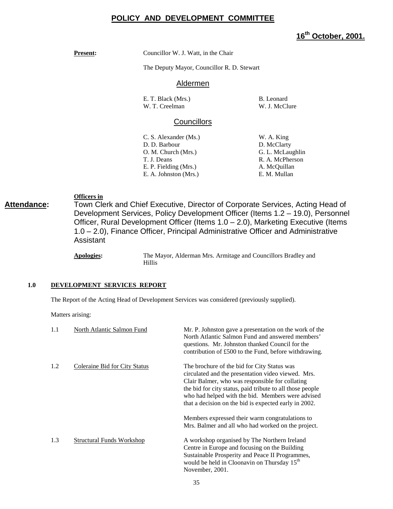# **POLICY AND DEVELOPMENT COMMITTEE**

# **16th October, 2001.**

**Present:** Councillor W. J. Watt, in the Chair

The Deputy Mayor, Councillor R. D. Stewart

#### Aldermen

| E. T. Black (Mrs.) | B. Leonard |
|--------------------|------------|
| W. T. Creelman     | W. J. McCl |

W. J. McClure

### **Councillors**

- C. S. Alexander (Ms.) W. A. King D. D. Barbour D. McClarty O. M. Church (Mrs.) G. L. McLaughlin T. J. Deans R. A. McPherson E. P. Fielding (Mrs.) A. McQuillan E. A. Johnston (Mrs.) E. M. Mullan
	-

**Officers in**

**Attendance:** Town Clerk and Chief Executive, Director of Corporate Services, Acting Head of Development Services, Policy Development Officer (Items 1.2 – 19.0), Personnel Officer, Rural Development Officer (Items 1.0 – 2.0), Marketing Executive (Items 1.0 – 2.0), Finance Officer, Principal Administrative Officer and Administrative Assistant

> **Apologies:** The Mayor, Alderman Mrs. Armitage and Councillors Bradley and Hillis

#### **1.0 DEVELOPMENT SERVICES REPORT**

The Report of the Acting Head of Development Services was considered (previously supplied).

Matters arising:

| 1.1 | North Atlantic Salmon Fund           | Mr. P. Johnston gave a presentation on the work of the<br>North Atlantic Salmon Fund and answered members'<br>questions. Mr. Johnston thanked Council for the<br>contribution of £500 to the Fund, before withdrawing.                                                                                                          |
|-----|--------------------------------------|---------------------------------------------------------------------------------------------------------------------------------------------------------------------------------------------------------------------------------------------------------------------------------------------------------------------------------|
| 1.2 | <b>Coleraine Bid for City Status</b> | The brochure of the bid for City Status was<br>circulated and the presentation video viewed. Mrs.<br>Clair Balmer, who was responsible for collating<br>the bid for city status, paid tribute to all those people<br>who had helped with the bid. Members were advised<br>that a decision on the bid is expected early in 2002. |
|     |                                      | Members expressed their warm congratulations to<br>Mrs. Balmer and all who had worked on the project.                                                                                                                                                                                                                           |
| 1.3 | <b>Structural Funds Workshop</b>     | A workshop organised by The Northern Ireland<br>Centre in Europe and focusing on the Building<br>Sustainable Prosperity and Peace II Programmes,<br>would be held in Cloonavin on Thursday 15 <sup>th</sup><br>November, 2001.                                                                                                  |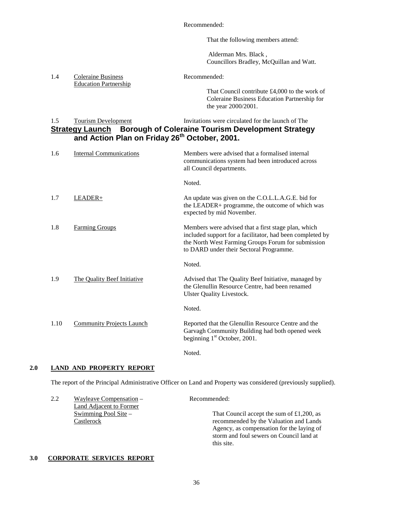Recommended:

That the following members attend:

 Alderman Mrs. Black , Councillors Bradley, McQuillan and Watt.

1.4 Coleraine Business Recommended: Education Partnership

That Council contribute £4,000 to the work of Coleraine Business Education Partnership for the year 2000/2001.

## 1.5 Tourism Development Invitations were circulated for the launch of The **Strategy Launch Borough of Coleraine Tourism Development Strategy and Action Plan on Friday 26th October, 2001.**

| 1.6  | <b>Internal Communications</b>   | Members were advised that a formalised internal<br>communications system had been introduced across<br>all Council departments.                                                                                   |
|------|----------------------------------|-------------------------------------------------------------------------------------------------------------------------------------------------------------------------------------------------------------------|
|      |                                  | Noted.                                                                                                                                                                                                            |
| 1.7  | LEADER+                          | An update was given on the C.O.L.L.A.G.E. bid for<br>the LEADER+ programme, the outcome of which was<br>expected by mid November.                                                                                 |
| 1.8  | <b>Farming Groups</b>            | Members were advised that a first stage plan, which<br>included support for a facilitator, had been completed by<br>the North West Farming Groups Forum for submission<br>to DARD under their Sectoral Programme. |
|      |                                  | Noted.                                                                                                                                                                                                            |
| 1.9  | The Quality Beef Initiative      | Advised that The Quality Beef Initiative, managed by<br>the Glenullin Resource Centre, had been renamed<br><b>Ulster Quality Livestock.</b>                                                                       |
|      |                                  | Noted.                                                                                                                                                                                                            |
| 1.10 | <b>Community Projects Launch</b> | Reported that the Glenullin Resource Centre and the<br>Garvagh Community Building had both opened week<br>beginning $1st$ October, 2001.                                                                          |
|      |                                  |                                                                                                                                                                                                                   |

Noted.

### **2.0 LAND AND PROPERTY REPORT**

The report of the Principal Administrative Officer on Land and Property was considered (previously supplied).

| 2.2 | Wayleave Compensation $-$ | Recommended:                                 |
|-----|---------------------------|----------------------------------------------|
|     | Land Adjacent to Former   |                                              |
|     | Swimming Pool Site $-$    | That Council accept the sum of $£1,200$ , as |
|     | Castlerock                | recommended by the Valuation and Lands       |
|     |                           | Agency, as compensation for the laying of    |
|     |                           | storm and foul sewers on Council land at     |
|     |                           | this site.                                   |

#### **3.0 CORPORATE SERVICES REPORT**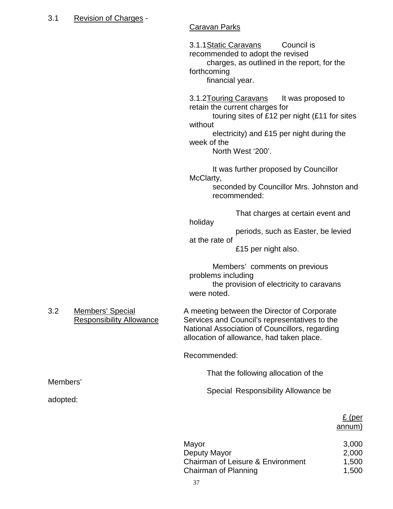# 3.1 Revision of Charges -

Members'

adopted:

# Caravan Parks

3.1.1Static Caravans Council is recommended to adopt the revised charges, as outlined in the report, for the forthcoming financial year. 3.1.2 Touring Caravans It was proposed to retain the current charges for touring sites of £12 per night (£11 for sites without electricity) and £15 per night during the week of the North West '200'. It was further proposed by Councillor McClarty, seconded by Councillor Mrs. Johnston and recommended: That charges at certain event and holiday periods, such as Easter, be levied at the rate of £15 per night also. Members' comments on previous problems including the provision of electricity to caravans were noted. 3.2 Members' Special A meeting between the Director of Corporate Responsibility Allowance Services and Council's representatives to the National Association of Councillors, regarding allocation of allowance, had taken place. Recommended: That the following allocation of the Special Responsibility Allowance be £ (per annum)

| Mayor                             | 3,000 |
|-----------------------------------|-------|
| Deputy Mayor                      | 2,000 |
| Chairman of Leisure & Environment | 1,500 |
| Chairman of Planning              | 1,500 |
|                                   |       |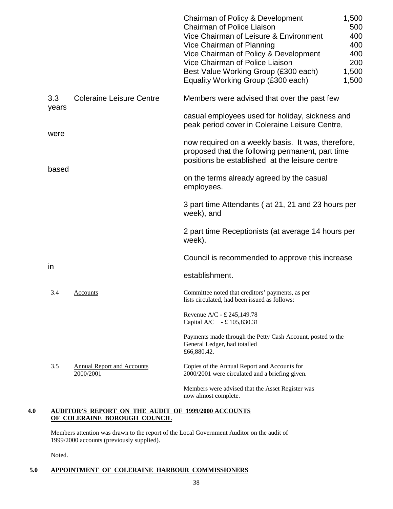|              |                                                | Chairman of Policy & Development<br>Chairman of Police Liaison<br>Vice Chairman of Leisure & Environment<br>Vice Chairman of Planning<br>Vice Chairman of Policy & Development<br>Vice Chairman of Police Liaison<br>Best Value Working Group (£300 each) | 1,500<br>500<br>400<br>400<br>400<br>200<br>1,500 |
|--------------|------------------------------------------------|-----------------------------------------------------------------------------------------------------------------------------------------------------------------------------------------------------------------------------------------------------------|---------------------------------------------------|
|              |                                                | Equality Working Group (£300 each)                                                                                                                                                                                                                        | 1,500                                             |
| 3.3<br>years | <b>Coleraine Leisure Centre</b>                | Members were advised that over the past few                                                                                                                                                                                                               |                                                   |
| were         |                                                | casual employees used for holiday, sickness and<br>peak period cover in Coleraine Leisure Centre,                                                                                                                                                         |                                                   |
| based        |                                                | now required on a weekly basis. It was, therefore,<br>proposed that the following permanent, part time<br>positions be established at the leisure centre                                                                                                  |                                                   |
|              |                                                | on the terms already agreed by the casual<br>employees.                                                                                                                                                                                                   |                                                   |
|              |                                                | 3 part time Attendants (at 21, 21 and 23 hours per<br>week), and                                                                                                                                                                                          |                                                   |
|              |                                                | 2 part time Receptionists (at average 14 hours per<br>week).                                                                                                                                                                                              |                                                   |
| in           |                                                | Council is recommended to approve this increase                                                                                                                                                                                                           |                                                   |
|              |                                                | establishment.                                                                                                                                                                                                                                            |                                                   |
| 3.4          | <u>Accounts</u>                                | Committee noted that creditors' payments, as per<br>lists circulated, had been issued as follows:                                                                                                                                                         |                                                   |
|              |                                                | Revenue A/C - £ 245,149.78<br>Capital A/C - £105,830.31                                                                                                                                                                                                   |                                                   |
|              |                                                | Payments made through the Petty Cash Account, posted to the<br>General Ledger, had totalled<br>£66,880.42.                                                                                                                                                |                                                   |
| 3.5          | <b>Annual Report and Accounts</b><br>2000/2001 | Copies of the Annual Report and Accounts for<br>2000/2001 were circulated and a briefing given.                                                                                                                                                           |                                                   |
|              |                                                | Members were advised that the Asset Register was<br>now almost complete.                                                                                                                                                                                  |                                                   |

### **4.0 AUDITOR'S REPORT ON THE AUDIT OF 1999/2000 ACCOUNTS OF COLERAINE BOROUGH COUNCIL**

Members attention was drawn to the report of the Local Government Auditor on the audit of 1999/2000 accounts (previously supplied).

Noted.

### **5.0 APPOINTMENT OF COLERAINE HARBOUR COMMISSIONERS**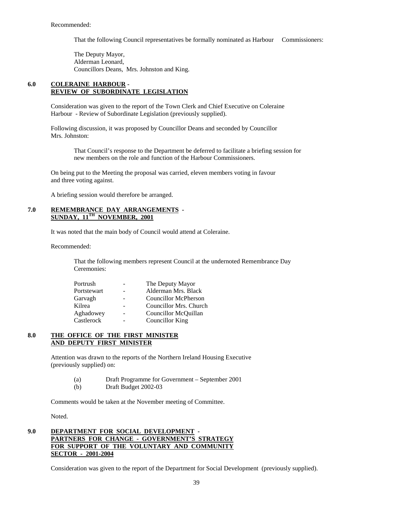That the following Council representatives be formally nominated as Harbour Commissioners:

The Deputy Mayor, Alderman Leonard, Councillors Deans, Mrs. Johnston and King.

#### **6.0 COLERAINE HARBOUR - REVIEW OF SUBORDINATE LEGISLATION**

Consideration was given to the report of the Town Clerk and Chief Executive on Coleraine Harbour - Review of Subordinate Legislation (previously supplied).

Following discussion, it was proposed by Councillor Deans and seconded by Councillor Mrs. Johnston:

That Council's response to the Department be deferred to facilitate a briefing session for new members on the role and function of the Harbour Commissioners.

On being put to the Meeting the proposal was carried, eleven members voting in favour and three voting against.

A briefing session would therefore be arranged.

#### **7.0 REMEMBRANCE DAY ARRANGEMENTS - SUNDAY, 11TH NOVEMBER, 2001**

It was noted that the main body of Council would attend at Coleraine.

Recommended:

That the following members represent Council at the undernoted Remembrance Day Ceremonies:

| Portrush    |   | The Deputy Mayor            |
|-------------|---|-----------------------------|
| Portstewart |   | Alderman Mrs. Black         |
| Garvagh     |   | <b>Councillor McPherson</b> |
| Kilrea      |   | Councillor Mrs. Church      |
| Aghadowey   | - | Councillor McQuillan        |
| Castlerock  |   | <b>Councillor King</b>      |

#### **8.0 THE OFFICE OF THE FIRST MINISTER AND DEPUTY FIRST MINISTER**

Attention was drawn to the reports of the Northern Ireland Housing Executive (previously supplied) on:

- (a) Draft Programme for Government September 2001
- (b) Draft Budget 2002-03

Comments would be taken at the November meeting of Committee.

Noted.

#### **9.0 DEPARTMENT FOR SOCIAL DEVELOPMENT - PARTNERS FOR CHANGE - GOVERNMENT'S STRATEGY FOR SUPPORT OF THE VOLUNTARY AND COMMUNITY SECTOR - 2001-2004**

Consideration was given to the report of the Department for Social Development (previously supplied).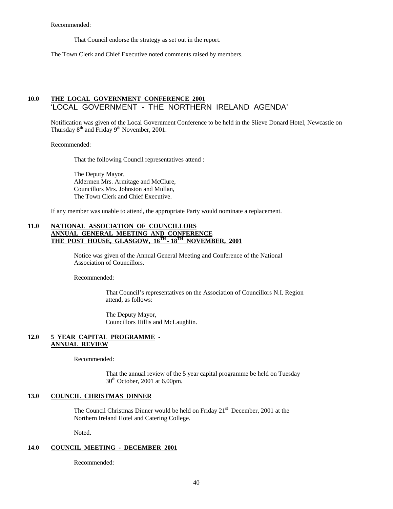Recommended:

That Council endorse the strategy as set out in the report.

The Town Clerk and Chief Executive noted comments raised by members.

### **10.0 THE LOCAL GOVERNMENT CONFERENCE 2001** 'LOCAL GOVERNMENT - THE NORTHERN IRELAND AGENDA'

Notification was given of the Local Government Conference to be held in the Slieve Donard Hotel, Newcastle on Thursday  $8<sup>th</sup>$  and Friday  $9<sup>th</sup>$  November, 2001.

Recommended:

That the following Council representatives attend :

The Deputy Mayor, Aldermen Mrs. Armitage and McClure, Councillors Mrs. Johnston and Mullan, The Town Clerk and Chief Executive.

If any member was unable to attend, the appropriate Party would nominate a replacement.

#### **11.0 NATIONAL ASSOCIATION OF COUNCILLORS ANNUAL GENERAL MEETING AND CONFERENCE THE POST HOUSE, GLASGOW, 16TH - 18TH NOVEMBER, 2001**

Notice was given of the Annual General Meeting and Conference of the National Association of Councillors.

Recommended:

That Council's representatives on the Association of Councillors N.I. Region attend, as follows:

The Deputy Mayor, Councillors Hillis and McLaughlin.

#### **12.0 5 YEAR CAPITAL PROGRAMME - ANNUAL REVIEW**

Recommended:

That the annual review of the 5 year capital programme be held on Tuesday  $30<sup>th</sup>$  October, 2001 at 6.00pm.

#### **13.0 COUNCIL CHRISTMAS DINNER**

The Council Christmas Dinner would be held on Friday  $21<sup>st</sup>$  December, 2001 at the Northern Ireland Hotel and Catering College.

Noted.

#### **14.0 COUNCIL MEETING - DECEMBER 2001**

Recommended: